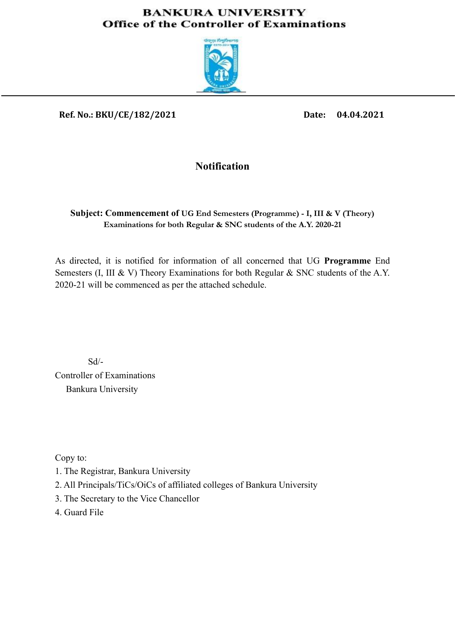#### **BANKURA UNIVERSITY Office of the Controller of Examinations**



### **Ref. No.: BKU/CE/182/2021 Date: 04.04.2021**

# **Notification**

#### **Subject: Commencement of UG End Semesters (Programme) - I, III & V (Theory) Examinations for both Regular & SNC students of the A.Y. 2020-21**

As directed, it is notified for information of all concerned that UG **Programme** End Semesters (I, III & V) Theory Examinations for both Regular & SNC students of the A.Y. 2020-21 will be commenced as per the attached schedule.

 Sd/- Controller of Examinations Bankura University

Copy to:

- 1. The Registrar, Bankura University
- 2. All Principals/TiCs/OiCs of affiliated colleges of Bankura University
- 3. The Secretary to the Vice Chancellor
- 4. Guard File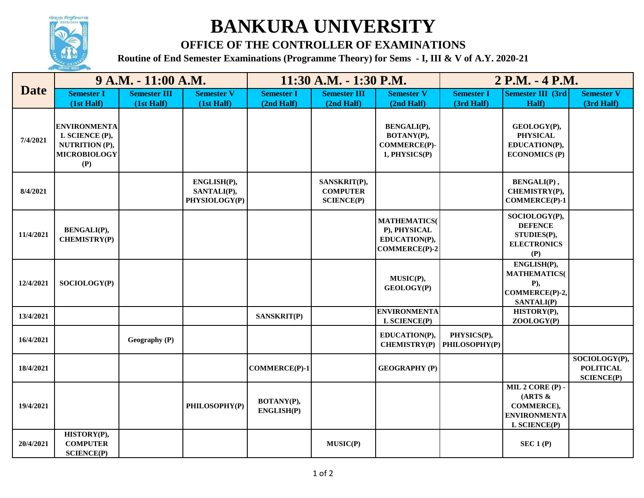

# **BANKURA UNIVERSITY**

# **OFFICE OF THE CONTROLLER OF EXAMINATIONS**

**Routine of End Semester Examinations (Programme Theory) for Sems - I, III & V of A.Y. 2020-21**

| <b>Date</b> | 9 A.M. - 11:00 A.M.                                                                   |                     |                                             | 11:30 A.M. - 1:30 P.M.   |                                                      |                                                                             | 2 P.M. - 4 P.M.              |                                                                                     |                                                        |
|-------------|---------------------------------------------------------------------------------------|---------------------|---------------------------------------------|--------------------------|------------------------------------------------------|-----------------------------------------------------------------------------|------------------------------|-------------------------------------------------------------------------------------|--------------------------------------------------------|
|             | <b>Semester I</b>                                                                     | <b>Semester III</b> | <b>Semester V</b>                           | <b>Semester I</b>        | <b>Semester III</b>                                  | <b>Semester V</b>                                                           | <b>Semester I</b>            | <b>Semester III (3rd)</b>                                                           | <b>Semester V</b>                                      |
|             | (1st Half)                                                                            | (1st Half)          | (1st Half)                                  | (2nd Half)               | (2nd Half)                                           | (2nd Half)                                                                  | (3rd Half)                   | Half)                                                                               | (3rd Half)                                             |
| 7/4/2021    | <b>ENVIRONMENTA</b><br>L SCIENCE (P),<br>NUTRITION (P),<br><b>MICROBIOLOGY</b><br>(P) |                     |                                             |                          |                                                      | <b>BENGALI(P),</b><br>BOTANY(P),<br><b>COMMERCE(P)-</b><br>1, PHYSICS(P)    |                              | GEOLOGY(P),<br><b>PHYSICAL</b><br>EDUCATION(P),<br><b>ECONOMICS (P)</b>             |                                                        |
| 8/4/2021    |                                                                                       |                     | ENGLISH(P),<br>SANTALI(P),<br>PHYSIOLOGY(P) |                          | SANSKRIT(P),<br><b>COMPUTER</b><br><b>SCIENCE(P)</b> |                                                                             |                              | <b>BENGALI(P)</b> ,<br>CHEMISTRY(P),<br><b>COMMERCE(P)-1</b>                        |                                                        |
| 11/4/2021   | <b>BENGALI(P),</b><br><b>CHEMISTRY(P)</b>                                             |                     |                                             |                          |                                                      | <b>MATHEMATICS</b><br>P), PHYSICAL<br>EDUCATION(P),<br><b>COMMERCE(P)-2</b> |                              | SOCIOLOGY(P),<br><b>DEFENCE</b><br>STUDIES(P),<br><b>ELECTRONICS</b><br>(P)         |                                                        |
| 12/4/2021   | SOCIOLOGY(P)                                                                          |                     |                                             |                          |                                                      | MUSIC(P),<br>GEOLOGY(P)                                                     |                              | ENGLISH(P),<br><b>MATHEMATICS(</b><br>$P$ ),<br>COMMERCE(P)-2,<br><b>SANTALI(P)</b> |                                                        |
| 13/4/2021   |                                                                                       |                     |                                             | <b>SANSKRIT(P)</b>       |                                                      | <b>ENVIRONMENTA</b><br>L SCIENCE(P)                                         |                              | HISTORY(P),<br>ZOOLOGY(P)                                                           |                                                        |
| 16/4/2021   |                                                                                       | Geography (P)       |                                             |                          |                                                      | EDUCATION(P),<br><b>CHEMISTRY(P)</b>                                        | PHYSICS(P),<br>PHILOSOPHY(P) |                                                                                     |                                                        |
| 18/4/2021   |                                                                                       |                     |                                             | <b>COMMERCE(P)-1</b>     |                                                      | <b>GEOGRAPHY (P)</b>                                                        |                              |                                                                                     | SOCIOLOGY(P),<br><b>POLITICAL</b><br><b>SCIENCE(P)</b> |
| 19/4/2021   |                                                                                       |                     | PHILOSOPHY(P)                               | BOTANY(P),<br>ENGLISH(P) |                                                      |                                                                             |                              | MIL 2 CORE (P) -<br>(ARTS &<br>COMMERCE),<br><b>ENVIRONMENTA</b><br>L SCIENCE(P)    |                                                        |
| 20/4/2021   | HISTORY(P),<br><b>COMPUTER</b><br><b>SCIENCE(P)</b>                                   |                     |                                             |                          | MUSIC(P)                                             |                                                                             |                              | SEC 1 (P)                                                                           |                                                        |